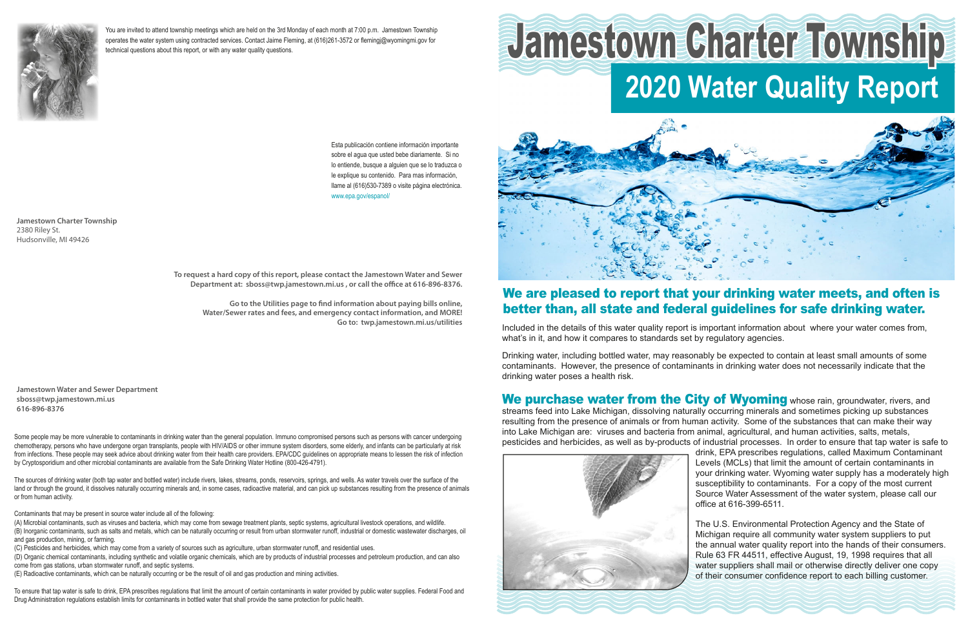Included in the details of this water quality report is important information about where your water comes from, what's in it, and how it compares to standards set by regulatory agencies.

Drinking water, including bottled water, may reasonably be expected to contain at least small amounts of some contaminants. However, the presence of contaminants in drinking water does not necessarily indicate that the drinking water poses a health risk.

We purchase water from the City of Wyoming whose rain, groundwater, rivers, and streams feed into Lake Michigan, dissolving naturally occurring minerals and sometimes picking up substances resulting from the presence of animals or from human activity. Some of the substances that can make their way into Lake Michigan are: viruses and bacteria from animal, agricultural, and human activities, salts, metals, pesticides and herbicides, as well as by-products of industrial processes. In order to ensure that tap water is safe to drink, EPA prescribes regulations, called Maximum Contaminant Levels (MCLs) that limit the amount of certain contaminants in your drinking water. Wyoming water supply has a moderately high susceptibility to contaminants. For a copy of the most current Source Water Assessment of the water system, please call our office at 616-399-6511.



The U.S. Environmental Protection Agency and the State of Michigan require all community water system suppliers to put the annual water quality report into the hands of their consumers. Rule 63 FR 44511, effective August, 19, 1998 requires that all water suppliers shall mail or otherwise directly deliver one copy of their consumer confidence report to each billing customer.

**Jamestown Charter Township** 2380 Riley St. Hudsonville, MI 49426

## We are pleased to report that your drinking water meets, and often is better than, all state and federal guidelines for safe drinking water.

Esta publicación contiene información importante sobre el agua que usted bebe diariamente. Si no lo entiende, busque a alguien que se lo traduzca o le explique su contenido. Para mas información, llame al (616)530-7389 o visite página electrónica. www.epa.gov/espanol/



You are invited to attend township meetings which are held on the 3rd Monday of each month at 7:00 p.m. Jamestown Township operates the water system using contracted services. Contact Jaime Fleming, at (616)261-3572 or flemingj@wyomingmi.gov for technical questions about this report, or with any water quality questions.

# **2020 Water Quality Report** Jamestown Charter Township



**Jamestown Water and Sewer Department sboss@twp.jamestown.mi.us 616-896-8376**

**To request a hard copy of this report, please contact the Jamestown Water and Sewer Department at: sboss@twp.jamestown.mi.us , or call the office at 616-896-8376.**

**Go to the Utilities page to find information about paying bills online, Water/Sewer rates and fees, and emergency contact information, and MORE! Go to: twp.jamestown.mi.us/utilities**

Some people may be more vulnerable to contaminants in drinking water than the general population. Immuno compromised persons such as persons with cancer undergoing chemotherapy, persons who have undergone organ transplants, people with HIV/AIDS or other immune system disorders, some elderly, and infants can be particularly at risk from infections. These people may seek advice about drinking water from their health care providers. EPA/CDC guidelines on appropriate means to lessen the risk of infection by Cryptosporidium and other microbial contaminants are available from the Safe Drinking Water Hotline (800-426-4791).

The sources of drinking water (both tap water and bottled water) include rivers, lakes, streams, ponds, reservoirs, springs, and wells. As water travels over the surface of the land or through the ground, it dissolves naturally occurring minerals and, in some cases, radioactive material, and can pick up substances resulting from the presence of animals or from human activity.

Contaminants that may be present in source water include all of the following:

(A) Microbial contaminants, such as viruses and bacteria, which may come from sewage treatment plants, septic systems, agricultural livestock operations, and wildlife. (B) Inorganic contaminants, such as salts and metals, which can be naturally occurring or result from urban stormwater runoff, industrial or domestic wastewater discharges, oil and gas production, mining, or farming.

(C) Pesticides and herbicides, which may come from a variety of sources such as agriculture, urban stormwater runoff, and residential uses.

(D) Organic chemical contaminants, including synthetic and volatile organic chemicals, which are by products of industrial processes and petroleum production, and can also come from gas stations, urban stormwater runoff, and septic systems.

(E) Radioactive contaminants, which can be naturally occurring or be the result of oil and gas production and mining activities.

To ensure that tap water is safe to drink, EPA prescribes regulations that limit the amount of certain contaminants in water provided by public water supplies. Federal Food and Drug Administration regulations establish limits for contaminants in bottled water that shall provide the same protection for public health.